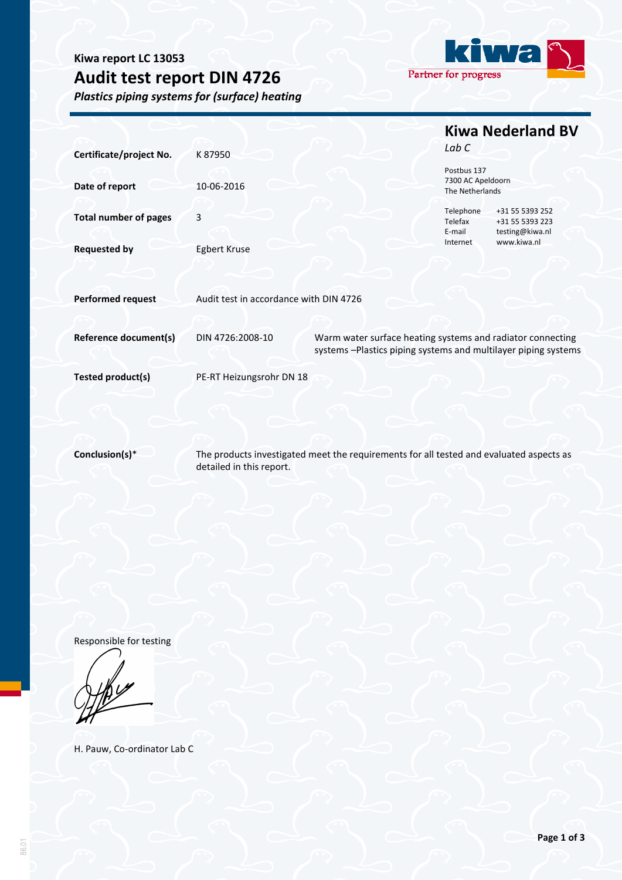# **Kiwa report LC 13053 Audit test report DIN 4726**

*Plastics piping systems for (surface) heating*



|                              |                                        |                                                                                                                              | <b>Kiwa Nederland BV</b>         |                                                       |
|------------------------------|----------------------------------------|------------------------------------------------------------------------------------------------------------------------------|----------------------------------|-------------------------------------------------------|
| Certificate/project No.      | K87950                                 |                                                                                                                              | Lab C                            |                                                       |
|                              |                                        |                                                                                                                              | Postbus 137<br>7300 AC Apeldoorn |                                                       |
| Date of report               | 10-06-2016                             |                                                                                                                              | The Netherlands                  |                                                       |
| <b>Total number of pages</b> | 3                                      |                                                                                                                              | Telephone<br>Telefax<br>E-mail   | +31 55 5393 252<br>+31 55 5393 223<br>testing@kiwa.nl |
| <b>Requested by</b>          | <b>Egbert Kruse</b>                    |                                                                                                                              | Internet                         | www.kiwa.nl                                           |
| <b>Performed request</b>     | Audit test in accordance with DIN 4726 |                                                                                                                              |                                  |                                                       |
|                              |                                        |                                                                                                                              |                                  |                                                       |
| <b>Reference document(s)</b> | DIN 4726:2008-10                       | Warm water surface heating systems and radiator connecting<br>systems -Plastics piping systems and multilayer piping systems |                                  |                                                       |
| Tested product(s)            | PE-RT Heizungsrohr DN 18               |                                                                                                                              |                                  |                                                       |
|                              |                                        |                                                                                                                              |                                  |                                                       |
|                              |                                        |                                                                                                                              |                                  |                                                       |
| Conclusion(s)*               | detailed in this report.               | The products investigated meet the requirements for all tested and evaluated aspects as                                      |                                  |                                                       |

Responsible for testing

H. Pauw, Co-ordinator Lab C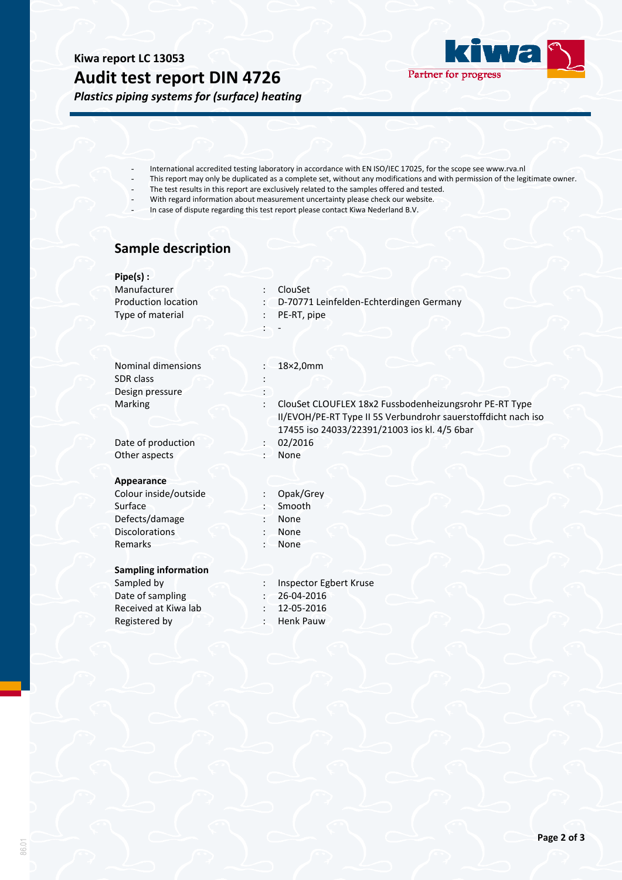## **Kiwa report LC 13053 Audit test report DIN 4726**





- International accredited testing laboratory in accordance with EN ISO/IEC 17025, for the scope see www.rva.nl
- This report may only be duplicated as a complete set, without any modifications and with permission of the legitimate owner.
- The test results in this report are exclusively related to the samples offered and tested.
- With regard information about measurement uncertainty please check our website.
- In case of dispute regarding this test report please contact Kiwa Nederland B.V.

### **Sample description**

| $Pipe(s)$ :                                  |                                                               |  |  |  |
|----------------------------------------------|---------------------------------------------------------------|--|--|--|
| Manufacturer                                 | ClouSet                                                       |  |  |  |
| <b>Production location</b><br>$\ddot{\cdot}$ | D-70771 Leinfelden-Echterdingen Germany                       |  |  |  |
| Type of material                             | PE-RT, pipe                                                   |  |  |  |
|                                              |                                                               |  |  |  |
|                                              |                                                               |  |  |  |
|                                              |                                                               |  |  |  |
| Nominal dimensions                           | 18×2,0mm                                                      |  |  |  |
| <b>SDR</b> class                             |                                                               |  |  |  |
| Design pressure                              |                                                               |  |  |  |
| Marking                                      | ClouSet CLOUFLEX 18x2 Fussbodenheizungsrohr PE-RT Type        |  |  |  |
|                                              | II/EVOH/PE-RT Type II 5S Verbundrohr sauerstoffdicht nach iso |  |  |  |
|                                              | 17455 iso 24033/22391/21003 ios kl. 4/5 6bar                  |  |  |  |
| Date of production<br>$\ddot{\cdot}$         | 02/2016                                                       |  |  |  |
| Other aspects<br>$\cdot$                     | None                                                          |  |  |  |
|                                              |                                                               |  |  |  |
| Appearance                                   |                                                               |  |  |  |
| Colour inside/outside<br>$\ddot{\cdot}$      | Opak/Grey                                                     |  |  |  |
| Surface                                      | Smooth                                                        |  |  |  |
| Defects/damage                               | None                                                          |  |  |  |
| <b>Discolorations</b>                        | None                                                          |  |  |  |
| Remarks<br>$\bullet$                         | None                                                          |  |  |  |
|                                              |                                                               |  |  |  |
| <b>Sampling information</b>                  |                                                               |  |  |  |
| Sampled by                                   | Inspector Egbert Kruse                                        |  |  |  |
| Date of sampling                             | 26-04-2016                                                    |  |  |  |
| Received at Kiwa lab                         | 12-05-2016                                                    |  |  |  |
| Registered by                                | <b>Henk Pauw</b>                                              |  |  |  |
|                                              |                                                               |  |  |  |